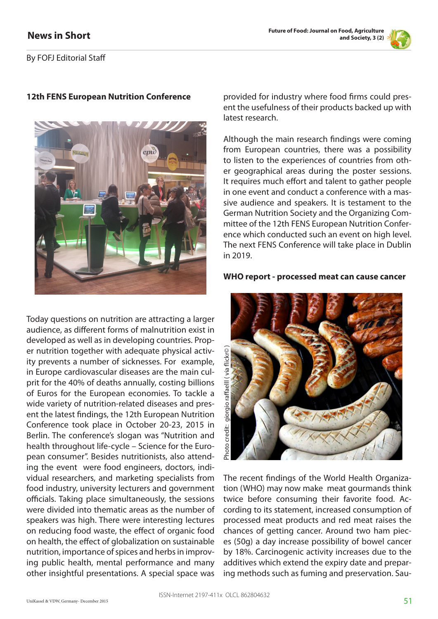

By FOFJ Editorial Staff

## **12th FENS European Nutrition Conference**



Today questions on nutrition are attracting a larger audience, as different forms of malnutrition exist in developed as well as in developing countries. Proper nutrition together with adequate physical activity prevents a number of sicknesses. For example, in Europe cardiovascular diseases are the main culprit for the 40% of deaths annually, costing billions of Euros for the European economies. To tackle a wide variety of nutrition-related diseases and present the latest findings, the 12th European Nutrition Conference took place in October 20-23, 2015 in Berlin. The conference's slogan was "Nutrition and health throughout life-cycle – Science for the European consumer". Besides nutritionists, also attending the event were food engineers, doctors, individual researchers, and marketing specialists from food industry, university lecturers and government officials. Taking place simultaneously, the sessions were divided into thematic areas as the number of speakers was high. There were interesting lectures on reducing food waste, the effect of organic food on health, the effect of globalization on sustainable nutrition, importance of spices and herbs in improving public health, mental performance and many other insightful presentations. A special space was

provided for industry where food firms could present the usefulness of their products backed up with latest research.

Although the main research findings were coming from European countries, there was a possibility to listen to the experiences of countries from other geographical areas during the poster sessions. It requires much effort and talent to gather people in one event and conduct a conference with a massive audience and speakers. It is testament to the German Nutrition Society and the Organizing Committee of the 12th FENS European Nutrition Conference which conducted such an event on high level. The next FENS Conference will take place in Dublin in 2019.

## **WHO report - processed meat can cause cancer**



The recent findings of the World Health Organization (WHO) may now make meat gourmands think twice before consuming their favorite food. According to its statement, increased consumption of processed meat products and red meat raises the chances of getting cancer. Around two ham pieces (50g) a day increase possibility of bowel cancer by 18%. Carcinogenic activity increases due to the additives which extend the expiry date and preparing methods such as fuming and preservation. Sau-